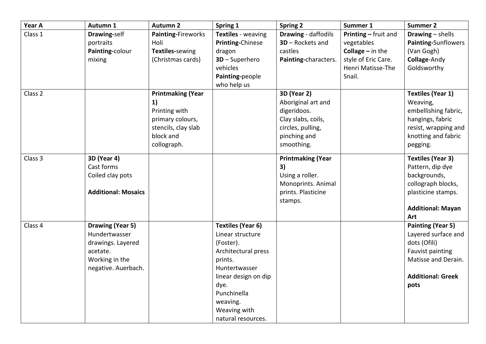| Year A  | Autumn 1                                                                                                    | <b>Autumn 2</b>                                                                                                        | Spring 1                                                                                                                                                                                                      | <b>Spring 2</b>                                                                                                                  | Summer 1                                                                                                              | <b>Summer 2</b>                                                                                                                                |
|---------|-------------------------------------------------------------------------------------------------------------|------------------------------------------------------------------------------------------------------------------------|---------------------------------------------------------------------------------------------------------------------------------------------------------------------------------------------------------------|----------------------------------------------------------------------------------------------------------------------------------|-----------------------------------------------------------------------------------------------------------------------|------------------------------------------------------------------------------------------------------------------------------------------------|
| Class 1 | Drawing-self<br>portraits<br>Painting-colour<br>mixing                                                      | Painting-Fireworks<br>Holi<br>Textiles-sewing<br>(Christmas cards)                                                     | Textiles - weaving<br><b>Printing-Chinese</b><br>dragon<br>$3D - Superhero$<br>vehicles<br>Painting-people<br>who help us                                                                                     | <b>Drawing - daffodils</b><br>$3D -$ Rockets and<br>castles<br>Painting-characters.                                              | Printing - fruit and<br>vegetables<br><b>Collage</b> $-$ in the<br>style of Eric Care.<br>Henri Matisse-The<br>Snail. | Drawing $-$ shells<br>Painting-Sunflowers<br>(Van Gogh)<br>Collage-Andy<br>Goldsworthy                                                         |
| Class 2 |                                                                                                             | <b>Printmaking (Year</b><br>1)<br>Printing with<br>primary colours,<br>stencils, clay slab<br>block and<br>collograph. |                                                                                                                                                                                                               | <b>3D (Year 2)</b><br>Aboriginal art and<br>digeridoos.<br>Clay slabs, coils,<br>circles, pulling,<br>pinching and<br>smoothing. |                                                                                                                       | <b>Textiles (Year 1)</b><br>Weaving,<br>embellishing fabric,<br>hangings, fabric<br>resist, wrapping and<br>knotting and fabric<br>pegging.    |
| Class 3 | <b>3D (Year 4)</b><br>Cast forms<br>Coiled clay pots<br><b>Additional: Mosaics</b>                          |                                                                                                                        |                                                                                                                                                                                                               | <b>Printmaking (Year</b><br>3)<br>Using a roller.<br>Monoprints. Animal<br>prints. Plasticine<br>stamps.                         |                                                                                                                       | <b>Textiles (Year 3)</b><br>Pattern, dip dye<br>backgrounds,<br>collograph blocks,<br>plasticine stamps.<br><b>Additional: Mayan</b><br>Art    |
| Class 4 | Drawing (Year 5)<br>Hundertwasser<br>drawings. Layered<br>acetate.<br>Working in the<br>negative. Auerbach. |                                                                                                                        | <b>Textiles (Year 6)</b><br>Linear structure<br>(Foster).<br>Architectural press<br>prints.<br>Huntertwasser<br>linear design on dip<br>dye.<br>Punchinella<br>weaving.<br>Weaving with<br>natural resources. |                                                                                                                                  |                                                                                                                       | <b>Painting (Year 5)</b><br>Layered surface and<br>dots (Ofili)<br>Fauvist painting<br>Matisse and Derain.<br><b>Additional: Greek</b><br>pots |